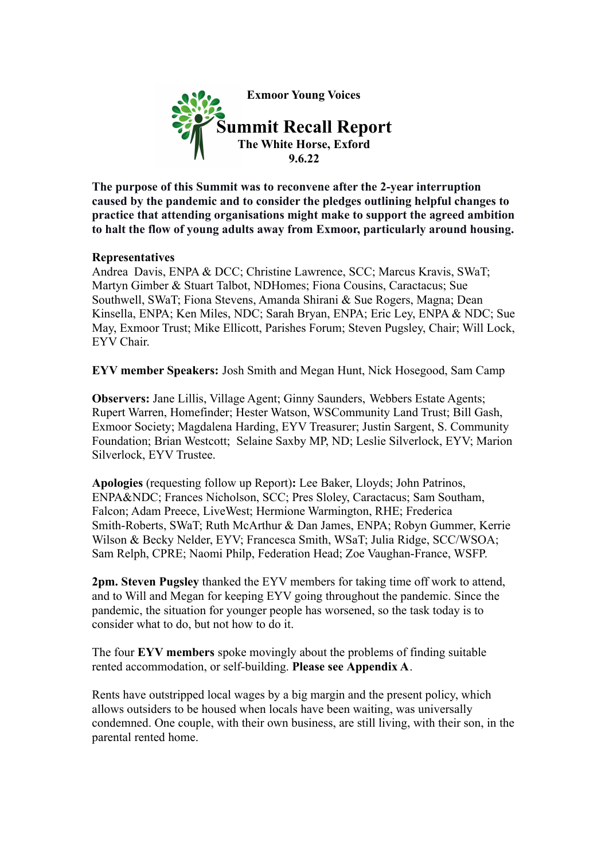

**The purpose of this Summit was to reconvene after the 2-year interruption caused by the pandemic and to consider the pledges outlining helpful changes to practice that attending organisations might make to support the agreed ambition to halt the flow of young adults away from Exmoor, particularly around housing.**

# **Representatives**

Andrea Davis, ENPA & DCC; Christine Lawrence, SCC; Marcus Kravis, SWaT; Martyn Gimber & Stuart Talbot, NDHomes; Fiona Cousins, Caractacus; Sue Southwell, SWaT; Fiona Stevens, Amanda Shirani & Sue Rogers, Magna; Dean Kinsella, ENPA; Ken Miles, NDC; Sarah Bryan, ENPA; Eric Ley, ENPA & NDC; Sue May, Exmoor Trust; Mike Ellicott, Parishes Forum; Steven Pugsley, Chair; Will Lock, EYV Chair.

**EYV member Speakers:** Josh Smith and Megan Hunt, Nick Hosegood, Sam Camp

**Observers:** Jane Lillis, Village Agent; Ginny Saunders, Webbers Estate Agents; Rupert Warren, Homefinder; Hester Watson, WSCommunity Land Trust; Bill Gash, Exmoor Society; Magdalena Harding, EYV Treasurer; Justin Sargent, S. Community Foundation; Brian Westcott; Selaine Saxby MP, ND; Leslie Silverlock, EYV; Marion Silverlock, EYV Trustee.

**Apologies** (requesting follow up Report)**:** Lee Baker, Lloyds; John Patrinos, ENPA&NDC; Frances Nicholson, SCC; Pres Sloley, Caractacus; Sam Southam, Falcon; Adam Preece, LiveWest; Hermione Warmington, RHE; Frederica Smith-Roberts, SWaT; Ruth McArthur & Dan James, ENPA; Robyn Gummer, Kerrie Wilson & Becky Nelder, EYV; Francesca Smith, WSaT; Julia Ridge, SCC/WSOA; Sam Relph, CPRE; Naomi Philp, Federation Head; Zoe Vaughan-France, WSFP.

**2pm. Steven Pugsley** thanked the EYV members for taking time off work to attend, and to Will and Megan for keeping EYV going throughout the pandemic. Since the pandemic, the situation for younger people has worsened, so the task today is to consider what to do, but not how to do it.

The four **EYV members** spoke movingly about the problems of finding suitable rented accommodation, or self-building. **Please see Appendix A**.

Rents have outstripped local wages by a big margin and the present policy, which allows outsiders to be housed when locals have been waiting, was universally condemned. One couple, with their own business, are still living, with their son, in the parental rented home.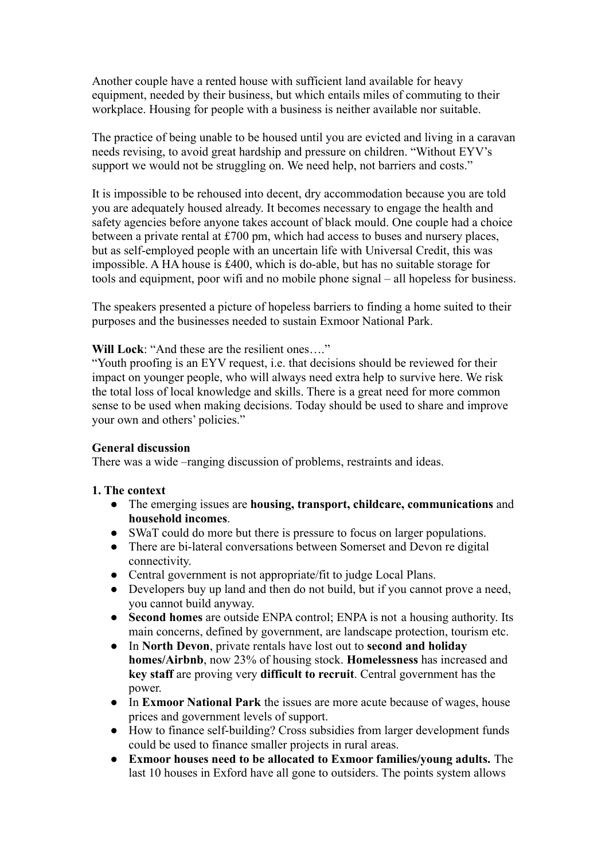Another couple have a rented house with sufficient land available for heavy equipment, needed by their business, but which entails miles of commuting to their workplace. Housing for people with a business is neither available nor suitable.

The practice of being unable to be housed until you are evicted and living in a caravan needs revising, to avoid great hardship and pressure on children. "Without EYV's support we would not be struggling on. We need help, not barriers and costs."

It is impossible to be rehoused into decent, dry accommodation because you are told you are adequately housed already. It becomes necessary to engage the health and safety agencies before anyone takes account of black mould. One couple had a choice between a private rental at £700 pm, which had access to buses and nursery places, but as self-employed people with an uncertain life with Universal Credit, this was impossible. A HA house is £400, which is do-able, but has no suitable storage for tools and equipment, poor wifi and no mobile phone signal – all hopeless for business.

The speakers presented a picture of hopeless barriers to finding a home suited to their purposes and the businesses needed to sustain Exmoor National Park.

#### **Will Lock**: "And these are the resilient ones…."

"Youth proofing is an EYV request, i.e. that decisions should be reviewed for their impact on younger people, who will always need extra help to survive here. We risk the total loss of local knowledge and skills. There is a great need for more common sense to be used when making decisions. Today should be used to share and improve your own and others' policies."

#### **General discussion**

There was a wide –ranging discussion of problems, restraints and ideas.

#### **1. The context**

- The emerging issues are **housing, transport, childcare, communications** and **household incomes**.
- SWaT could do more but there is pressure to focus on larger populations.
- There are bi-lateral conversations between Somerset and Devon re digital connectivity.
- Central government is not appropriate/fit to judge Local Plans.
- Developers buy up land and then do not build, but if you cannot prove a need, you cannot build anyway.
- **Second homes** are outside ENPA control; ENPA is not a housing authority. Its main concerns, defined by government, are landscape protection, tourism etc.
- In **North Devon**, private rentals have lost out to **second and holiday homes/Airbnb**, now 23% of housing stock. **Homelessness** has increased and **key staff** are proving very **difficult to recruit**. Central government has the power.
- In **Exmoor National Park** the issues are more acute because of wages, house prices and government levels of support.
- How to finance self-building? Cross subsidies from larger development funds could be used to finance smaller projects in rural areas.
- **Exmoor houses need to be allocated to Exmoor families/young adults.** The last 10 houses in Exford have all gone to outsiders. The points system allows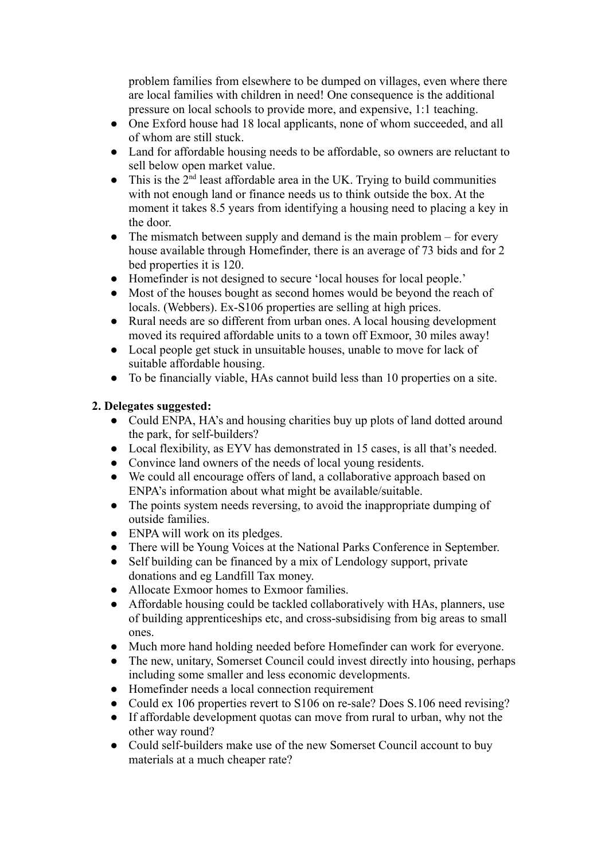problem families from elsewhere to be dumped on villages, even where there are local families with children in need! One consequence is the additional pressure on local schools to provide more, and expensive, 1:1 teaching.

- One Exford house had 18 local applicants, none of whom succeeded, and all of whom are still stuck.
- Land for affordable housing needs to be affordable, so owners are reluctant to sell below open market value.
- $\bullet$  This is the  $2<sup>nd</sup>$  least affordable area in the UK. Trying to build communities with not enough land or finance needs us to think outside the box. At the moment it takes 8.5 years from identifying a housing need to placing a key in the door.
- The mismatch between supply and demand is the main problem for every house available through Homefinder, there is an average of 73 bids and for 2 bed properties it is 120.
- Homefinder is not designed to secure 'local houses for local people.'
- Most of the houses bought as second homes would be beyond the reach of locals. (Webbers). Ex-S106 properties are selling at high prices.
- Rural needs are so different from urban ones. A local housing development moved its required affordable units to a town off Exmoor, 30 miles away!
- Local people get stuck in unsuitable houses, unable to move for lack of suitable affordable housing.
- To be financially viable, HAs cannot build less than 10 properties on a site.

# **2. Delegates suggested:**

- Could ENPA, HA's and housing charities buy up plots of land dotted around the park, for self-builders?
- Local flexibility, as EYV has demonstrated in 15 cases, is all that's needed.
- Convince land owners of the needs of local young residents.
- We could all encourage offers of land, a collaborative approach based on ENPA's information about what might be available/suitable.
- The points system needs reversing, to avoid the inappropriate dumping of outside families.
- ENPA will work on its pledges.
- There will be Young Voices at the National Parks Conference in September.
- Self building can be financed by a mix of Lendology support, private donations and eg Landfill Tax money.
- Allocate Exmoor homes to Exmoor families.
- Affordable housing could be tackled collaboratively with HAs, planners, use of building apprenticeships etc, and cross-subsidising from big areas to small ones.
- Much more hand holding needed before Homefinder can work for everyone.
- The new, unitary, Somerset Council could invest directly into housing, perhaps including some smaller and less economic developments.
- Homefinder needs a local connection requirement
- Could ex 106 properties revert to S106 on re-sale? Does S.106 need revising?
- If affordable development quotas can move from rural to urban, why not the other way round?
- Could self-builders make use of the new Somerset Council account to buy materials at a much cheaper rate?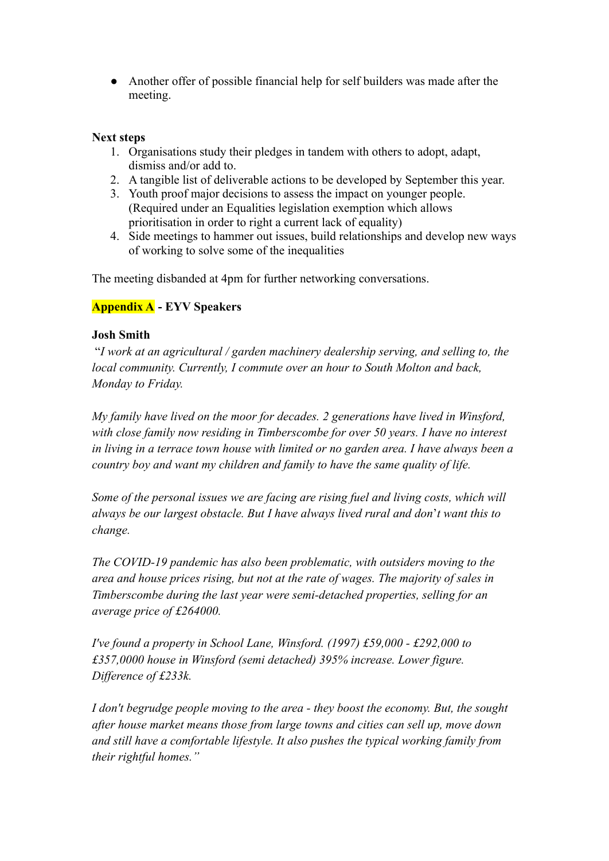● Another offer of possible financial help for self builders was made after the meeting.

# **Next steps**

- 1. Organisations study their pledges in tandem with others to adopt, adapt, dismiss and/or add to.
- 2. A tangible list of deliverable actions to be developed by September this year.
- 3. Youth proof major decisions to assess the impact on younger people. (Required under an Equalities legislation exemption which allows prioritisation in order to right a current lack of equality)
- 4. Side meetings to hammer out issues, build relationships and develop new ways of working to solve some of the inequalities

The meeting disbanded at 4pm for further networking conversations.

# **Appendix A - EYV Speakers**

# **Josh Smith**

"*I work at an agricultural / garden machinery dealership serving, and selling to, the local community. Currently, I commute over an hour to South Molton and back, Monday to Friday.*

*My family have lived on the moor for decades. 2 generations have lived in Winsford, with close family now residing in Timberscombe for over 50 years. I have no interest in living in a terrace town house with limited or no garden area. I have always been a country boy and want my children and family to have the same quality of life.*

*Some of the personal issues we are facing are rising fuel and living costs, which will always be our largest obstacle. But I have always lived rural and don*'*t want this to change.*

*The COVID-19 pandemic has also been problematic, with outsiders moving to the area and house prices rising, but not at the rate of wages. The majority of sales in Timberscombe during the last year were semi-detached properties, selling for an average price of £264000.*

*I've found a property in School Lane, Winsford. (1997) £59,000 - £292,000 to £357,0000 house in Winsford (semi detached) 395% increase. Lower figure. Difference of £233k.*

*I don't begrudge people moving to the area - they boost the economy. But, the sought after house market means those from large towns and cities can sell up, move down and still have a comfortable lifestyle. It also pushes the typical working family from their rightful homes."*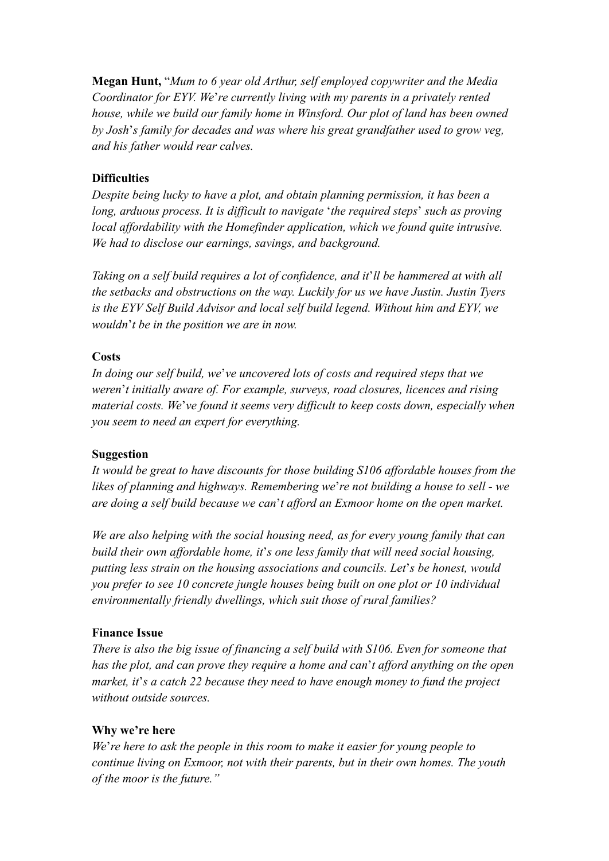**Megan Hunt,** "*Mum to 6 year old Arthur, self employed copywriter and the Media Coordinator for EYV. We*'*re currently living with my parents in a privately rented house, while we build our family home in Winsford. Our plot of land has been owned by Josh*'*s family for decades and was where his great grandfather used to grow veg, and his father would rear calves.*

# **Difficulties**

*Despite being lucky to have a plot, and obtain planning permission, it has been a long, arduous process. It is difficult to navigate* '*the required steps*' *such as proving local affordability with the Homefinder application, which we found quite intrusive. We had to disclose our earnings, savings, and background.*

*Taking on a self build requires a lot of confidence, and it*'*ll be hammered at with all the setbacks and obstructions on the way. Luckily for us we have Justin. Justin Tyers is the EYV Self Build Advisor and local self build legend. Without him and EYV, we wouldn*'*t be in the position we are in now.*

# **Costs**

*In doing our self build, we*'*ve uncovered lots of costs and required steps that we weren*'*t initially aware of. For example, surveys, road closures, licences and rising material costs. We*'*ve found it seems very difficult to keep costs down, especially when you seem to need an expert for everything.*

#### **Suggestion**

*It would be great to have discounts for those building S106 affordable houses from the likes of planning and highways. Remembering we*'*re not building a house to sell - we are doing a self build because we can*'*t afford an Exmoor home on the open market.*

*We are also helping with the social housing need, as for every young family that can build their own affordable home, it*'*s one less family that will need social housing, putting less strain on the housing associations and councils. Let*'*s be honest, would you prefer to see 10 concrete jungle houses being built on one plot or 10 individual environmentally friendly dwellings, which suit those of rural families?*

# **Finance Issue**

*There is also the big issue of financing a self build with S106. Even for someone that has the plot, and can prove they require a home and can*'*t afford anything on the open market, it*'*s a catch 22 because they need to have enough money to fund the project without outside sources.*

#### **Why we're here**

*We*'*re here to ask the people in this room to make it easier for young people to continue living on Exmoor, not with their parents, but in their own homes. The youth of the moor is the future."*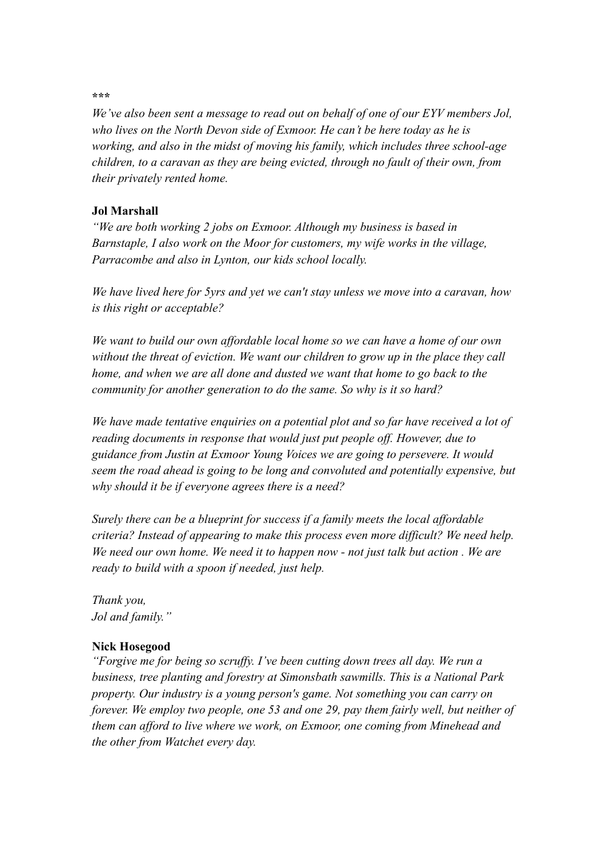#### **\*\*\***

*We've also been sent a message to read out on behalf of one of our EYV members Jol, who lives on the North Devon side of Exmoor. He can't be here today as he is working, and also in the midst of moving his family, which includes three school-age children, to a caravan as they are being evicted, through no fault of their own, from their privately rented home.*

#### **Jol Marshall**

*"We are both working 2 jobs on Exmoor. Although my business is based in Barnstaple, I also work on the Moor for customers, my wife works in the village, Parracombe and also in Lynton, our kids school locally.*

*We have lived here for 5yrs and yet we can't stay unless we move into a caravan, how is this right or acceptable?*

*We want to build our own affordable local home so we can have a home of our own without the threat of eviction. We want our children to grow up in the place they call home, and when we are all done and dusted we want that home to go back to the community for another generation to do the same. So why is it so hard?*

*We have made tentative enquiries on a potential plot and so far have received a lot of reading documents in response that would just put people off. However, due to guidance from Justin at Exmoor Young Voices we are going to persevere. It would seem the road ahead is going to be long and convoluted and potentially expensive, but why should it be if everyone agrees there is a need?*

*Surely there can be a blueprint for success if a family meets the local affordable criteria? Instead of appearing to make this process even more difficult? We need help. We need our own home. We need it to happen now - not just talk but action . We are ready to build with a spoon if needed, just help.*

*Thank you, Jol and family."*

#### **Nick Hosegood**

*"Forgive me for being so scruffy. I've been cutting down trees all day. We run a business, tree planting and forestry at Simonsbath sawmills. This is a National Park property. Our industry is a young person's game. Not something you can carry on forever. We employ two people, one 53 and one 29, pay them fairly well, but neither of them can afford to live where we work, on Exmoor, one coming from Minehead and the other from Watchet every day.*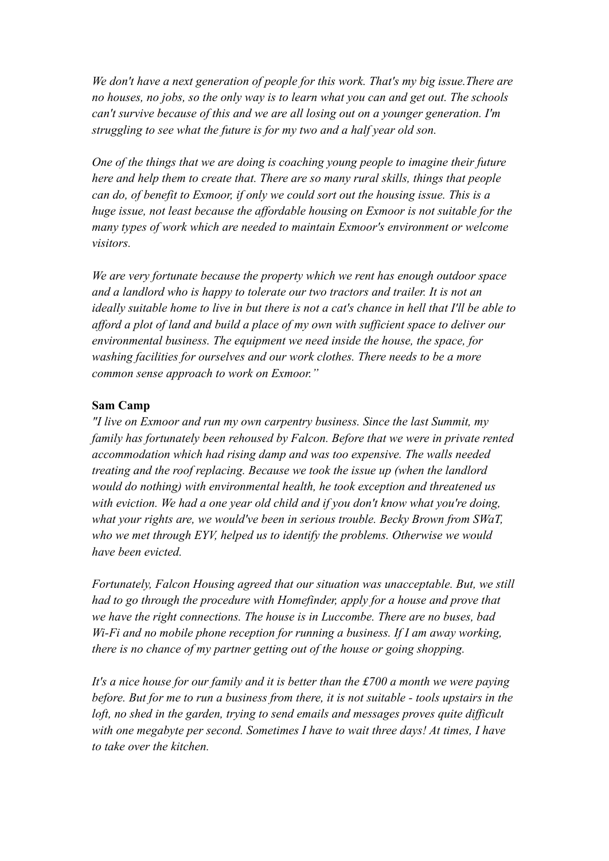*We don't have a next generation of people for this work. That's my big issue.There are no houses, no jobs, so the only way is to learn what you can and get out. The schools can't survive because of this and we are all losing out on a younger generation. I'm struggling to see what the future is for my two and a half year old son.*

*One of the things that we are doing is coaching young people to imagine their future here and help them to create that. There are so many rural skills, things that people can do, of benefit to Exmoor, if only we could sort out the housing issue. This is a huge issue, not least because the affordable housing on Exmoor is not suitable for the many types of work which are needed to maintain Exmoor's environment or welcome visitors.*

*We are very fortunate because the property which we rent has enough outdoor space and a landlord who is happy to tolerate our two tractors and trailer. It is not an ideally suitable home to live in but there is not a cat's chance in hell that I'll be able to afford a plot of land and build a place of my own with sufficient space to deliver our environmental business. The equipment we need inside the house, the space, for washing facilities for ourselves and our work clothes. There needs to be a more common sense approach to work on Exmoor."*

#### **Sam Camp**

*"I live on Exmoor and run my own carpentry business. Since the last Summit, my family has fortunately been rehoused by Falcon. Before that we were in private rented accommodation which had rising damp and was too expensive. The walls needed treating and the roof replacing. Because we took the issue up (when the landlord would do nothing) with environmental health, he took exception and threatened us with eviction. We had a one year old child and if you don't know what you're doing, what your rights are, we would've been in serious trouble. Becky Brown from SWaT, who we met through EYV, helped us to identify the problems. Otherwise we would have been evicted.*

*Fortunately, Falcon Housing agreed that our situation was unacceptable. But, we still had to go through the procedure with Homefinder, apply for a house and prove that we have the right connections. The house is in Luccombe. There are no buses, bad Wi-Fi and no mobile phone reception for running a business. If I am away working, there is no chance of my partner getting out of the house or going shopping.*

*It's a nice house for our family and it is better than the £700 a month we were paying before. But for me to run a business from there, it is not suitable - tools upstairs in the loft, no shed in the garden, trying to send emails and messages proves quite difficult with one megabyte per second. Sometimes I have to wait three days! At times, I have to take over the kitchen.*